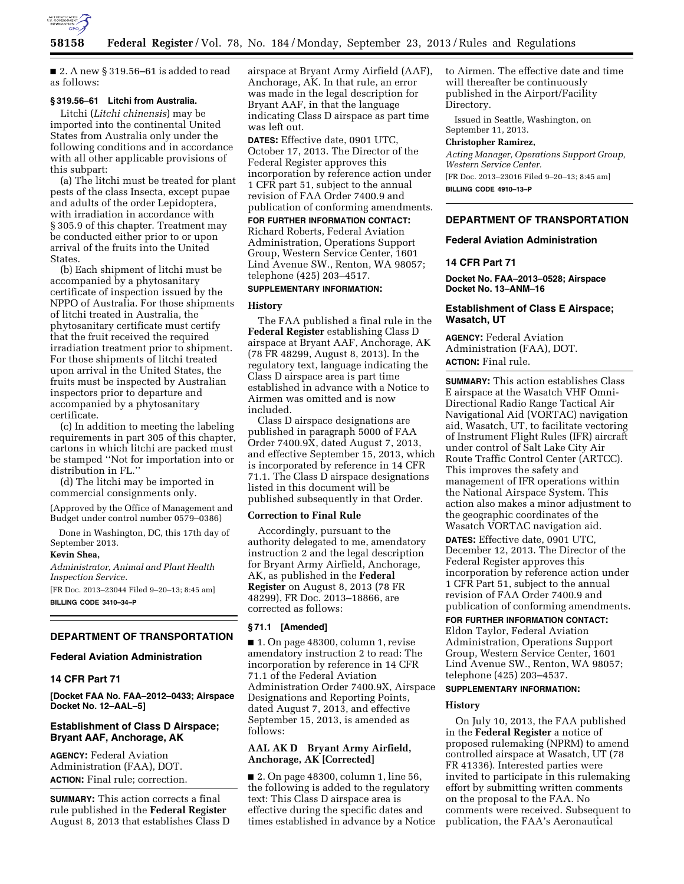

 $\blacksquare$  2. A new § 319.56–61 is added to read as follows:

#### **§ 319.56–61 Litchi from Australia.**

Litchi (*Litchi chinensis*) may be imported into the continental United States from Australia only under the following conditions and in accordance with all other applicable provisions of this subpart:

(a) The litchi must be treated for plant pests of the class Insecta, except pupae and adults of the order Lepidoptera, with irradiation in accordance with § 305.9 of this chapter. Treatment may be conducted either prior to or upon arrival of the fruits into the United States.

(b) Each shipment of litchi must be accompanied by a phytosanitary certificate of inspection issued by the NPPO of Australia. For those shipments of litchi treated in Australia, the phytosanitary certificate must certify that the fruit received the required irradiation treatment prior to shipment. For those shipments of litchi treated upon arrival in the United States, the fruits must be inspected by Australian inspectors prior to departure and accompanied by a phytosanitary certificate.

(c) In addition to meeting the labeling requirements in part 305 of this chapter, cartons in which litchi are packed must be stamped ''Not for importation into or distribution in FL.''

(d) The litchi may be imported in commercial consignments only.

(Approved by the Office of Management and Budget under control number 0579–0386)

Done in Washington, DC, this 17th day of September 2013.

## **Kevin Shea,**

*Administrator, Animal and Plant Health Inspection Service.* 

[FR Doc. 2013–23044 Filed 9–20–13; 8:45 am] **BILLING CODE 3410–34–P** 

### **DEPARTMENT OF TRANSPORTATION**

## **Federal Aviation Administration**

#### **14 CFR Part 71**

**[Docket FAA No. FAA–2012–0433; Airspace Docket No. 12–AAL–5]** 

#### **Establishment of Class D Airspace; Bryant AAF, Anchorage, AK**

**AGENCY:** Federal Aviation Administration (FAA), DOT. **ACTION:** Final rule; correction.

**SUMMARY:** This action corrects a final rule published in the **Federal Register**  August 8, 2013 that establishes Class D airspace at Bryant Army Airfield (AAF), Anchorage, AK. In that rule, an error was made in the legal description for Bryant AAF, in that the language indicating Class D airspace as part time was left out.

**DATES:** Effective date, 0901 UTC, October 17, 2013. The Director of the Federal Register approves this incorporation by reference action under 1 CFR part 51, subject to the annual revision of FAA Order 7400.9 and publication of conforming amendments.

**FOR FURTHER INFORMATION CONTACT:**  Richard Roberts, Federal Aviation Administration, Operations Support Group, Western Service Center, 1601 Lind Avenue SW., Renton, WA 98057; telephone (425) 203–4517.

# **SUPPLEMENTARY INFORMATION:**

#### **History**

The FAA published a final rule in the **Federal Register** establishing Class D airspace at Bryant AAF, Anchorage, AK (78 FR 48299, August 8, 2013). In the regulatory text, language indicating the Class D airspace area is part time established in advance with a Notice to Airmen was omitted and is now included.

Class D airspace designations are published in paragraph 5000 of FAA Order 7400.9X, dated August 7, 2013, and effective September 15, 2013, which is incorporated by reference in 14 CFR 71.1. The Class D airspace designations listed in this document will be published subsequently in that Order.

#### **Correction to Final Rule**

Accordingly, pursuant to the authority delegated to me, amendatory instruction 2 and the legal description for Bryant Army Airfield, Anchorage, AK, as published in the **Federal Register** on August 8, 2013 (78 FR 48299), FR Doc. 2013–18866, are corrected as follows:

## **§ 71.1 [Amended]**

■ 1. On page 48300, column 1, revise amendatory instruction 2 to read: The incorporation by reference in 14 CFR 71.1 of the Federal Aviation Administration Order 7400.9X, Airspace Designations and Reporting Points, dated August 7, 2013, and effective September 15, 2013, is amended as follows:

# **AAL AK D Bryant Army Airfield, Anchorage, AK [Corrected]**

■ 2. On page 48300, column 1, line 56, the following is added to the regulatory text: This Class D airspace area is effective during the specific dates and times established in advance by a Notice to Airmen. The effective date and time will thereafter be continuously published in the Airport/Facility Directory.

Issued in Seattle, Washington, on September 11, 2013.

## **Christopher Ramirez,**

*Acting Manager, Operations Support Group, Western Service Center.*  [FR Doc. 2013–23016 Filed 9–20–13; 8:45 am]

**BILLING CODE 4910–13–P** 

# **DEPARTMENT OF TRANSPORTATION**

#### **Federal Aviation Administration**

## **14 CFR Part 71**

**Docket No. FAA–2013–0528; Airspace Docket No. 13–ANM–16** 

#### **Establishment of Class E Airspace; Wasatch, UT**

**AGENCY:** Federal Aviation Administration (FAA), DOT. **ACTION:** Final rule.

**SUMMARY:** This action establishes Class E airspace at the Wasatch VHF Omni-Directional Radio Range Tactical Air Navigational Aid (VORTAC) navigation aid, Wasatch, UT, to facilitate vectoring of Instrument Flight Rules (IFR) aircraft under control of Salt Lake City Air Route Traffic Control Center (ARTCC). This improves the safety and management of IFR operations within the National Airspace System. This action also makes a minor adjustment to the geographic coordinates of the Wasatch VORTAC navigation aid. **DATES:** Effective date, 0901 UTC, December 12, 2013. The Director of the Federal Register approves this incorporation by reference action under 1 CFR Part 51, subject to the annual revision of FAA Order 7400.9 and publication of conforming amendments.

# **FOR FURTHER INFORMATION CONTACT:**

Eldon Taylor, Federal Aviation Administration, Operations Support Group, Western Service Center, 1601 Lind Avenue SW., Renton, WA 98057; telephone (425) 203–4537.

#### **SUPPLEMENTARY INFORMATION:**

#### **History**

On July 10, 2013, the FAA published in the **Federal Register** a notice of proposed rulemaking (NPRM) to amend controlled airspace at Wasatch, UT (78 FR 41336). Interested parties were invited to participate in this rulemaking effort by submitting written comments on the proposal to the FAA. No comments were received. Subsequent to publication, the FAA's Aeronautical